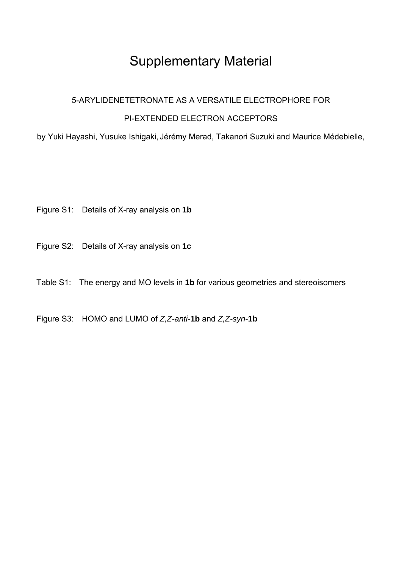# Supplementary Material

## 5-ARYLIDENETETRONATE AS A VERSATILE ELECTROPHORE FOR

#### PI-EXTENDED ELECTRON ACCEPTORS

by Yuki Hayashi, Yusuke Ishigaki, Jérémy Merad, Takanori Suzuki and Maurice Médebielle,

- Figure S1: Details of X-ray analysis on **1b**
- Figure S2: Details of X-ray analysis on **1c**
- Table S1: The energy and MO levels in **1b** for various geometries and stereoisomers
- Figure S3: HOMO and LUMO of *Z,Z-anti-***1b** and *Z,Z-syn-***1b**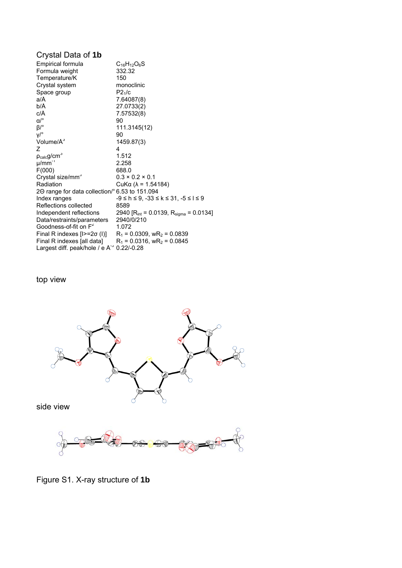### Crystal Data of **1b**

| Empirical formula                              | $C_{16}H_{12}O_6S$                                 |
|------------------------------------------------|----------------------------------------------------|
| Formula weight                                 | 332.32                                             |
| Temperature/K                                  | 150                                                |
| Crystal system                                 | monoclinic                                         |
| Space group                                    | P2 <sub>1</sub> /c                                 |
| a/Å                                            | 7.64087(8)                                         |
| b/Å                                            | 27.0733(2)                                         |
| c/Å                                            | 7.57532(8)                                         |
| $\alpha/^\circ$                                | 90                                                 |
| $\beta$ /°                                     | 111.3145(12)                                       |
| $V^{\circ}$                                    | 90                                                 |
| Volume/A <sup>3</sup>                          | 1459.87(3)                                         |
| 7                                              | 4                                                  |
| $p_{calc}g/cm3$                                | 1.512                                              |
| $\mu$ /mm <sup>-1</sup>                        | 2.258                                              |
| F(000)                                         | 688.0                                              |
| Crystal size/mm <sup>3</sup>                   | $0.3 \times 0.2 \times 0.1$                        |
| Radiation                                      | CuKα ( $λ = 1.54184$ )                             |
| 20 range for data collection/° 6.53 to 151.094 |                                                    |
| Index ranges                                   | $-9 \le h \le 9, -33 \le k \le 31, -5 \le l \le 9$ |
| Reflections collected                          | 8589                                               |
| Independent reflections                        | 2940 [ $R_{int}$ = 0.0139, $R_{sigma}$ = 0.0134]   |
| Data/restraints/parameters                     | 2940/0/210                                         |
| Goodness-of-fit on F <sup>2</sup>              | 1.072                                              |
| Final R indexes $[1> = 2\sigma(1)]$            | $R_1$ = 0.0309, wR <sub>2</sub> = 0.0839           |
| Final R indexes [all data]                     | $R_1$ = 0.0316, wR <sub>2</sub> = 0.0845           |
| Largest diff. peak/hole / e $A^{-3}$           | $0.22/-0.28$                                       |

top view



side view



Figure S1. X-ray structure of **1b**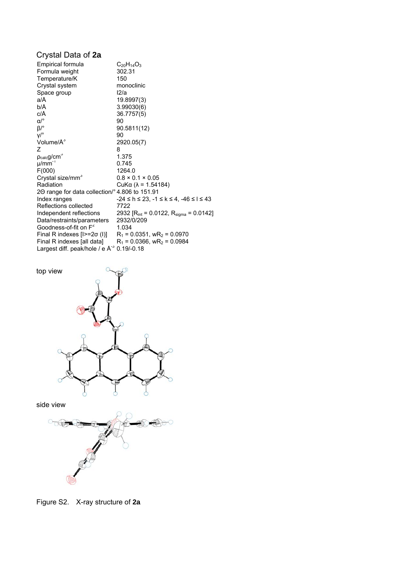## Crystal Data of **2a**

| $C_{20}H_{14}O_3$<br>302.31                                                     |
|---------------------------------------------------------------------------------|
| 150                                                                             |
| monoclinic                                                                      |
| 12/a                                                                            |
| 19.8997(3)                                                                      |
| 3.99030(6)                                                                      |
| 36.7757(5)                                                                      |
| 90                                                                              |
| 90.5811(12)                                                                     |
| 90                                                                              |
| 2920.05(7)                                                                      |
| 8                                                                               |
| 1.375                                                                           |
| 0.745                                                                           |
| 1264.0                                                                          |
| $0.8 \times 0.1 \times 0.05$                                                    |
| CuKα ( $λ = 1.54184$ )                                                          |
| 20 range for data collection/° 4.806 to 151.91                                  |
| $-24 \le h \le 23$ , $-1 \le k \le 4$ , $-46 \le l \le 43$                      |
| 7722                                                                            |
| 2932 [ $R_{int}$ = 0.0122, $R_{sigma}$ = 0.0142]                                |
| 2932/0/209                                                                      |
| 1.034                                                                           |
| Final R indexes $[1> = 2\sigma(1)]$<br>$R_1$ = 0.0351, wR <sub>2</sub> = 0.0970 |
| $R_1$ = 0.0366, wR <sub>2</sub> = 0.0984                                        |
| Largest diff. peak/hole / e $A^3$ 0.19/-0.18                                    |
|                                                                                 |





Figure S2. X-ray structure of **2a**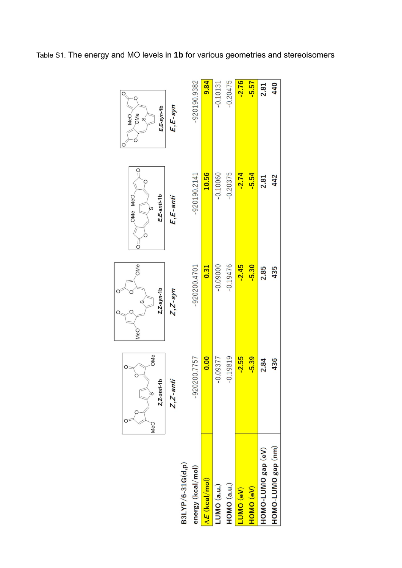|                                       | OMe<br>$Z$ , Z-anti-1<br>S<br>MeO | OMe<br>$z$ , $z$ -syn-1b<br>S<br>MeO | E,E-anti-1b<br>OMe MeO<br>S<br>$\frac{1}{2}$ | E,E-syn-1b<br><b>OMe</b><br>MeO<br>$\omega$ |
|---------------------------------------|-----------------------------------|--------------------------------------|----------------------------------------------|---------------------------------------------|
|                                       | $Z$ , $Z$ -ant                    | $Z$ , $Z$ -syn                       | $E, E$ -anti                                 | $E, E$ -syn                                 |
| B3LYP/6-31G(d,p)<br>energy (kcal/mol) | -920200.7757                      | $-920200.4701$                       | $-920190.2141$                               | $-920190.9382$                              |
| $\Delta E$ (kcal/mol)                 | 0.00                              | 0.31                                 | 10.56                                        | 9.84                                        |
| LUMO (a.u.)                           | $-0.09377$                        | $-0.09000$                           | $-0.10060$                                   | $-0.10131$                                  |
| HOMO (a.u.)                           | $-0.19819$                        | $-0.19476$                           | $-0.20375$                                   | $-0.20475$                                  |
| (Ve) OMD                              | $-2.55$                           | $-2.45$                              | $-2.74$                                      | $-2.76$                                     |
| HOMO (eV)                             | $-5.39$                           | $-5.30$                              | $-5.54$                                      | $-5.57$                                     |
| HOMO-LUMO gap (eV)                    | 2.84                              | 2.85                                 | 2.81                                         | 2.81                                        |
| HOMO-LUMO gap (nm)                    | 436                               | 435                                  | 442                                          | 440                                         |
|                                       |                                   |                                      |                                              |                                             |

 $\circ$ 

# $\circ$  $\overline{\bigg|_{\mathcal{O}_{\mathbb{Q}_n}}}$

Table S1. The energy and MO levels in **1b** for various geometries and stereoisomers